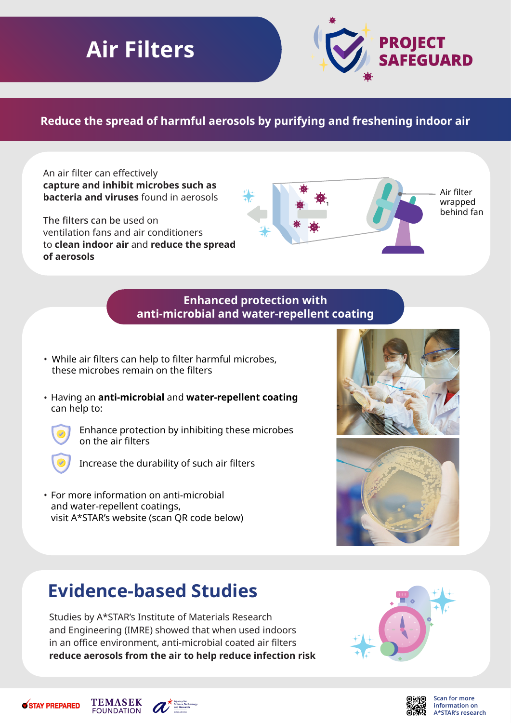# **Air Filters**



## **Reduce the spread of harmful aerosols by purifying and freshening indoor air**

An air filter can effectively **capture and inhibit microbes such as bacteria and viruses** found in aerosols

The filters can be used on ventilation fans and air conditioners to **clean indoor air** and **reduce the spread of aerosols**



#### **Enhanced protection with anti-microbial and water-repellent coating**

- While air filters can help to filter harmful microbes, these microbes remain on the filters
- Having an **anti-microbial** and **water-repellent coating** can help to:



Enhance protection by inhibiting these microbes on the air filters



Increase the durability of such air filters

• For more information on anti-microbial and water-repellent coatings, visit A\*STAR's website (scan QR code below)





## **Evidence-based Studies**

Studies by A\*STAR's Institute of Materials Research and Engineering (IMRE) showed that when used indoors in an office environment, anti-microbial coated air filters **reduce aerosols from the air to help reduce infection risk**





**Scan for more information on A\*STAR's research**



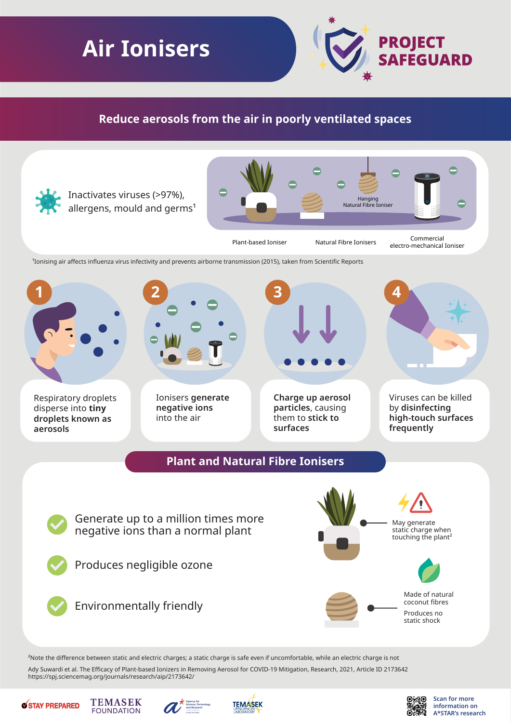# **Air Ionisers**



### **Reduce aerosols from the air in poorly ventilated spaces**



Ady Suwardi et al. The Efficacy of Plant-based Ionizers in Removing Aerosol for COVID-19 Mitigation, Research, 2021, Article ID 2173642 https://spj.sciencemag.org/journals/research/aip/2173642/





**TEMASEK** 

**FOUNDATION** 





**Scan for more information on A\*STAR's research**